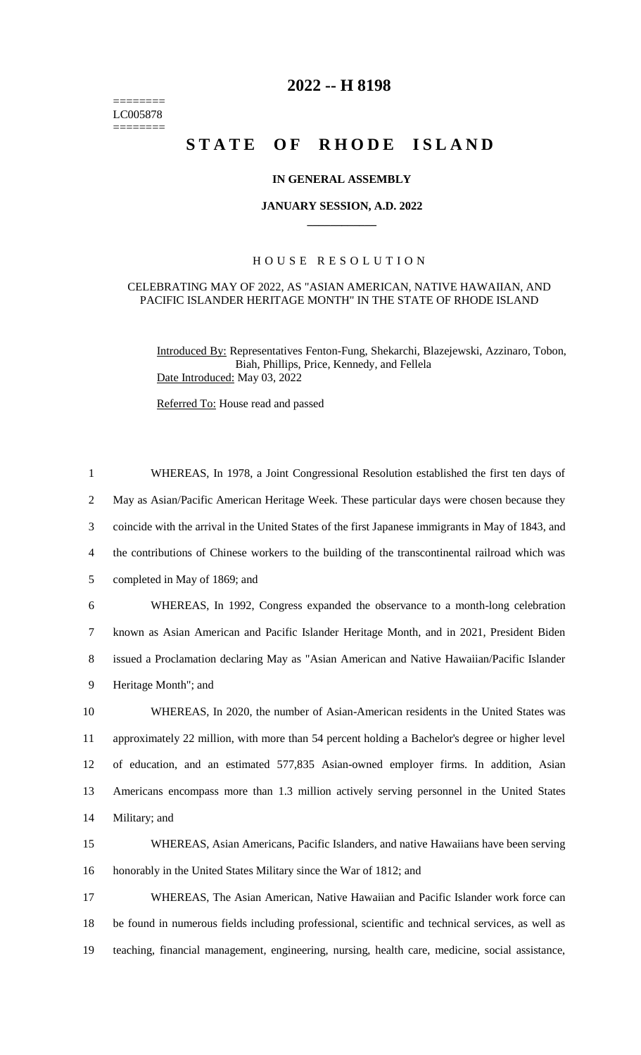======== LC005878  $=$ 

## **2022 -- H 8198**

# **STATE OF RHODE ISLAND**

#### **IN GENERAL ASSEMBLY**

#### **JANUARY SESSION, A.D. 2022 \_\_\_\_\_\_\_\_\_\_\_\_**

### H O U S E R E S O L U T I O N

#### CELEBRATING MAY OF 2022, AS "ASIAN AMERICAN, NATIVE HAWAIIAN, AND PACIFIC ISLANDER HERITAGE MONTH" IN THE STATE OF RHODE ISLAND

Introduced By: Representatives Fenton-Fung, Shekarchi, Blazejewski, Azzinaro, Tobon, Biah, Phillips, Price, Kennedy, and Fellela Date Introduced: May 03, 2022

Referred To: House read and passed

| $\mathbf{1}$   | WHEREAS, In 1978, a Joint Congressional Resolution established the first ten days of                |
|----------------|-----------------------------------------------------------------------------------------------------|
| $\overline{2}$ | May as Asian/Pacific American Heritage Week. These particular days were chosen because they         |
| 3              | coincide with the arrival in the United States of the first Japanese immigrants in May of 1843, and |
| $\overline{4}$ | the contributions of Chinese workers to the building of the transcontinental railroad which was     |
| 5              | completed in May of 1869; and                                                                       |
| 6              | WHEREAS, In 1992, Congress expanded the observance to a month-long celebration                      |
| $\tau$         | known as Asian American and Pacific Islander Heritage Month, and in 2021, President Biden           |
| 8              | issued a Proclamation declaring May as "Asian American and Native Hawaiian/Pacific Islander         |
| 9              | Heritage Month"; and                                                                                |
| 10             | WHEREAS, In 2020, the number of Asian-American residents in the United States was                   |
| 11             | approximately 22 million, with more than 54 percent holding a Bachelor's degree or higher level     |
| 12             | of education, and an estimated 577,835 Asian-owned employer firms. In addition, Asian               |
| 13             | Americans encompass more than 1.3 million actively serving personnel in the United States           |
| 14             | Military; and                                                                                       |
| 15             | WHEREAS, Asian Americans, Pacific Islanders, and native Hawaiians have been serving                 |
| 16             | honorably in the United States Military since the War of 1812; and                                  |
| 17             | WHEREAS, The Asian American, Native Hawaiian and Pacific Islander work force can                    |
| 18             | be found in numerous fields including professional, scientific and technical services, as well as   |
| 19             | teaching, financial management, engineering, nursing, health care, medicine, social assistance,     |